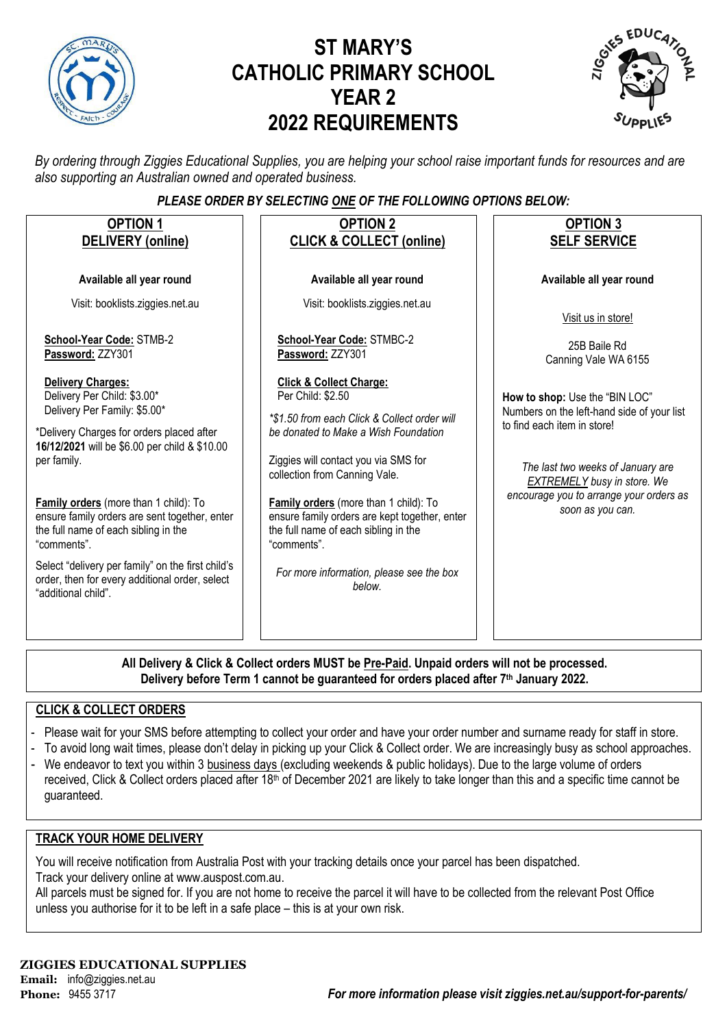

# **ST MARY'S CATHOLIC PRIMARY SCHOOL YEAR 2 2022 REQUIREMENTS**



*By ordering through Ziggies Educational Supplies, you are helping your school raise important funds for resources and are also supporting an Australian owned and operated business.*

### *PLEASE ORDER BY SELECTING ONE OF THE FOLLOWING OPTIONS BELOW:*

| <b>OPTION 1</b><br>DELIVERY (online)                                                                                                                                                                                                                                                                                                                                                                                                                                                | <b>OPTION 2</b><br><b>CLICK &amp; COLLECT (online)</b>                                                                                                                                                                                                                                                                                                                                                                          | <b>OPTION 3</b><br><b>SELF SERVICE</b>                                                                                                                                                                                                                |
|-------------------------------------------------------------------------------------------------------------------------------------------------------------------------------------------------------------------------------------------------------------------------------------------------------------------------------------------------------------------------------------------------------------------------------------------------------------------------------------|---------------------------------------------------------------------------------------------------------------------------------------------------------------------------------------------------------------------------------------------------------------------------------------------------------------------------------------------------------------------------------------------------------------------------------|-------------------------------------------------------------------------------------------------------------------------------------------------------------------------------------------------------------------------------------------------------|
| Available all year round                                                                                                                                                                                                                                                                                                                                                                                                                                                            | Available all year round                                                                                                                                                                                                                                                                                                                                                                                                        | Available all year round                                                                                                                                                                                                                              |
| Visit: booklists.ziggies.net.au                                                                                                                                                                                                                                                                                                                                                                                                                                                     | Visit: booklists.ziggies.net.au                                                                                                                                                                                                                                                                                                                                                                                                 | Visit us in store!                                                                                                                                                                                                                                    |
| School-Year Code: STMB-2<br>Password: ZZY301                                                                                                                                                                                                                                                                                                                                                                                                                                        | School-Year Code: STMBC-2<br>Password: ZZY301                                                                                                                                                                                                                                                                                                                                                                                   | 25B Baile Rd<br>Canning Vale WA 6155                                                                                                                                                                                                                  |
| <b>Delivery Charges:</b><br>Delivery Per Child: \$3.00*<br>Delivery Per Family: \$5.00*<br>*Delivery Charges for orders placed after<br>16/12/2021 will be \$6.00 per child & \$10.00<br>per family.<br>Family orders (more than 1 child): To<br>ensure family orders are sent together, enter<br>the full name of each sibling in the<br>"comments".<br>Select "delivery per family" on the first child's<br>order, then for every additional order, select<br>"additional child". | <b>Click &amp; Collect Charge:</b><br>Per Child: \$2.50<br>*\$1.50 from each Click & Collect order will<br>be donated to Make a Wish Foundation<br>Ziggies will contact you via SMS for<br>collection from Canning Vale.<br>Family orders (more than 1 child): To<br>ensure family orders are kept together, enter<br>the full name of each sibling in the<br>"comments".<br>For more information, please see the box<br>below. | How to shop: Use the "BIN LOC"<br>Numbers on the left-hand side of your list<br>to find each item in store!<br>The last two weeks of January are<br><b>EXTREMELY</b> busy in store. We<br>encourage you to arrange your orders as<br>soon as you can. |
|                                                                                                                                                                                                                                                                                                                                                                                                                                                                                     | All Delivers 0. Oliel, 0. Cellent andere MUCT he Dre Deid. Hungid andere will not be non-                                                                                                                                                                                                                                                                                                                                       |                                                                                                                                                                                                                                                       |

**All Delivery & Click & Collect orders MUST be Pre-Paid. Unpaid orders will not be processed. Delivery before Term 1 cannot be guaranteed for orders placed after 7th January 2022.**

### **CLICK & COLLECT ORDERS**

- Please wait for your SMS before attempting to collect your order and have your order number and surname ready for staff in store.
- To avoid long wait times, please don't delay in picking up your Click & Collect order. We are increasingly busy as school approaches.
- We endeavor to text you within 3 business days (excluding weekends & public holidays). Due to the large volume of orders received, Click & Collect orders placed after 18<sup>th</sup> of December 2021 are likely to take longer than this and a specific time cannot be guaranteed.

### **TRACK YOUR HOME DELIVERY**

You will receive notification from Australia Post with your tracking details once your parcel has been dispatched. Track your delivery online a[t www.auspost.com.au.](http://www.auspost.com.au/)

All parcels must be signed for. If you are not home to receive the parcel it will have to be collected from the relevant Post Office unless you authorise for it to be left in a safe place – this is at your own risk.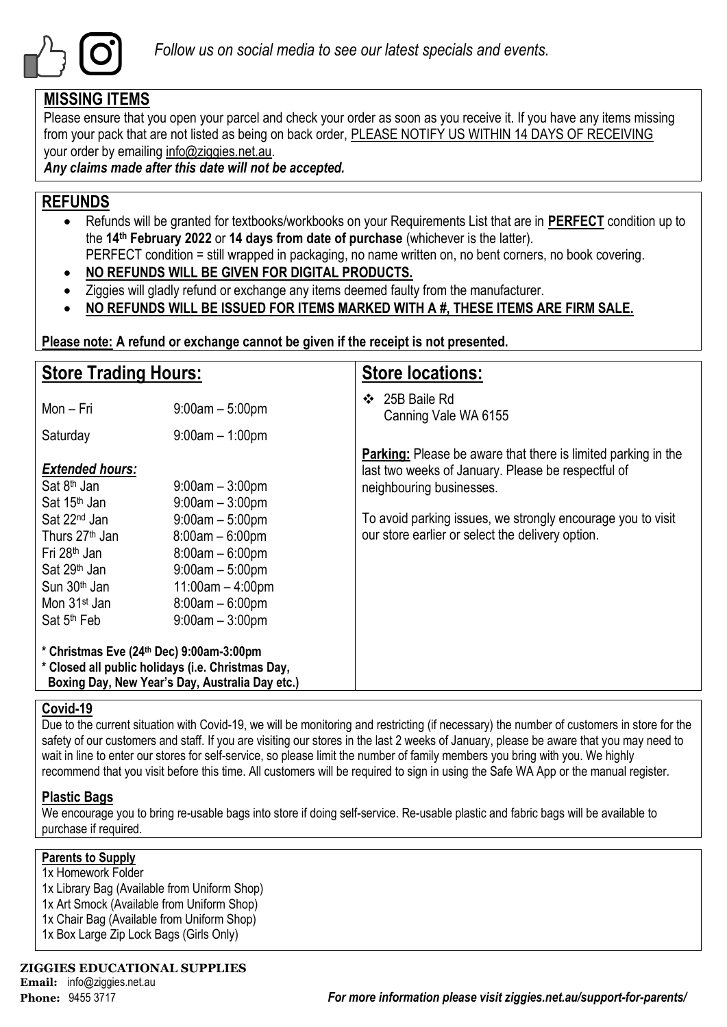

### **MISSING ITEMS**

Please ensure that you open your parcel and check your order as soon as you receive it. If you have any items missing from your pack that are not listed as being on back order, PLEASE NOTIFY US WITHIN 14 DAYS OF RECEIVING your order by emailing info@ziggies.net.au.

*Any claims made after this date will not be accepted.*

### **REFUNDS**

- Refunds will be granted for textbooks/workbooks on your Requirements List that are in **PERFECT** condition up to the **14th February 2022** or **14 days from date of purchase** (whichever is the latter). PERFECT condition = still wrapped in packaging, no name written on, no bent corners, no book covering.
- **NO REFUNDS WILL BE GIVEN FOR DIGITAL PRODUCTS.**
- Ziggies will gladly refund or exchange any items deemed faulty from the manufacturer.
- **NO REFUNDS WILL BE ISSUED FOR ITEMS MARKED WITH A #, THESE ITEMS ARE FIRM SALE.**

**Please note: A refund or exchange cannot be given if the receipt is not presented.**

| <b>Store Trading Hours:</b>                                                                                                                                                                       |                                                                                                                                                  | <b>Store locations:</b>                                                                                                                                |  |  |  |  |
|---------------------------------------------------------------------------------------------------------------------------------------------------------------------------------------------------|--------------------------------------------------------------------------------------------------------------------------------------------------|--------------------------------------------------------------------------------------------------------------------------------------------------------|--|--|--|--|
| Mon - Fri                                                                                                                                                                                         | $9:00am - 5:00pm$                                                                                                                                | 25B Baile Rd<br>❖<br>Canning Vale WA 6155                                                                                                              |  |  |  |  |
| Saturday                                                                                                                                                                                          | $9:00am - 1:00pm$                                                                                                                                |                                                                                                                                                        |  |  |  |  |
| <b>Extended hours:</b><br>Sat 8 <sup>th</sup> Jan<br>Sat 15 <sup>th</sup> Jan                                                                                                                     | $9:00$ am $-3:00$ pm<br>$9:00am - 3:00pm$                                                                                                        | <b>Parking:</b> Please be aware that there is limited parking in the<br>last two weeks of January. Please be respectful of<br>neighbouring businesses. |  |  |  |  |
| Sat 22 <sup>nd</sup> Jan<br>Thurs 27 <sup>th</sup> Jan<br>Fri 28 <sup>th</sup> Jan<br>Sat 29 <sup>th</sup> Jan<br>Sun 30 <sup>th</sup> Jan<br>Mon 31 <sup>st</sup> Jan<br>Sat 5 <sup>th</sup> Feb | $9:00am - 5:00pm$<br>$8:00am - 6:00pm$<br>$8:00am - 6:00pm$<br>$9:00am - 5:00pm$<br>$11:00am - 4:00pm$<br>$8:00am - 6:00pm$<br>$9:00am - 3:00pm$ | To avoid parking issues, we strongly encourage you to visit<br>our store earlier or select the delivery option.                                        |  |  |  |  |
| * Christmas Eve (24th Dec) 9:00am-3:00pm<br>* Closed all public holidays (i.e. Christmas Day,<br>Boxing Day, New Year's Day, Australia Day etc.)                                                  |                                                                                                                                                  |                                                                                                                                                        |  |  |  |  |

### **Covid-19**

Due to the current situation with Covid-19, we will be monitoring and restricting (if necessary) the number of customers in store for the safety of our customers and staff. If you are visiting our stores in the last 2 weeks of January, please be aware that you may need to wait in line to enter our stores for self-service, so please limit the number of family members you bring with you. We highly recommend that you visit before this time. All customers will be required to sign in using the Safe WA App or the manual register.

### **Plastic Bags**

We encourage you to bring re-usable bags into store if doing self-service. Re-usable plastic and fabric bags will be available to purchase if required.

### **Parents to Supply**

1x Homework Folder 1x Library Bag (Available from Uniform Shop) 1x Art Smock (Available from Uniform Shop) 1x Chair Bag (Available from Uniform Shop) 1x Box Large Zip Lock Bags (Girls Only)

**ZIGGIES EDUCATIONAL SUPPLIES**

**Email:** info@ziggies.net.au